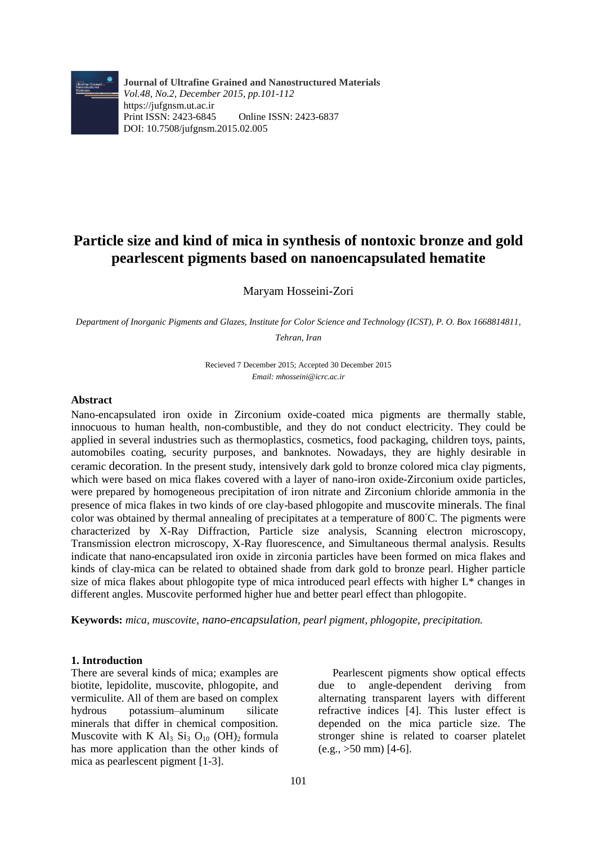

**Journal of Ultrafine Grained and Nanostructured Materials** *Vol.48, No.2, December 2015, pp.101-112* https://jufgnsm.ut.ac.ir Print ISSN: 2423-6845 Online ISSN: 2423-6837 DOI: 10.7508/jufgnsm.2015.02.005

# **Particle size and kind of mica in synthesis of nontoxic bronze and gold pearlescent pigments based on nanoencapsulated hematite**

Maryam Hosseini-Zori

*Department of Inorganic Pigments and Glazes, Institute for Color Science and Technology (ICST), P. O. Box 1668814811, Tehran, Iran*

> Recieved 7 December 2015; Accepted 30 December 2015 *Email: mhosseini@icrc.ac.ir*

#### **Abstract**

Nano-encapsulated iron oxide in Zirconium oxide-coated mica pigments are thermally stable, innocuous to human health, non-combustible, and they do not conduct electricity. They could be applied in several industries such as thermoplastics, cosmetics, food packaging, children toys, paints, automobiles coating, security purposes, and banknotes. Nowadays, they are highly desirable in ceramic decoration. In the present study, intensively dark gold to bronze colored mica clay pigments, which were based on mica flakes covered with a layer of nano-iron oxide-Zirconium oxide particles, were prepared by homogeneous precipitation of iron nitrate and Zirconium chloride ammonia in the presence of mica flakes in two kinds of ore clay-based phlogopite and muscovite minerals. The final color was obtained by thermal annealing of precipitates at a temperature of 800◦C. The pigments were characterized by X-Ray Diffraction, Particle size analysis, Scanning electron microscopy, Transmission electron microscopy, X-Ray fluorescence, and Simultaneous thermal analysis. Results indicate that nano-encapsulated iron oxide in zirconia particles have been formed on mica flakes and kinds of clay-mica can be related to obtained shade from dark gold to bronze pearl. Higher particle size of mica flakes about phlogopite type of mica introduced pearl effects with higher L\* changes in different angles. Muscovite performed higher hue and better pearl effect than phlogopite.

**Keywords:** *mica, muscovite, nano-encapsulation, pearl pigment, phlogopite, precipitation.*

## **1. Introduction**

There are several kinds of mica; examples are biotite, lepidolite, muscovite, phlogopite, and vermiculite. All of them are based on complex hydrous potassium–aluminum silicate minerals that differ in chemical composition. Muscovite with K  $Al_3$   $Si_3$   $O_{10}$  (OH)<sub>2</sub> formula has more application than the other kinds of mica as pearlescent pigment [1-3].

Pearlescent pigments show optical effects due to angle-dependent deriving from alternating transparent layers with different refractive indices [4]. This luster effect is depended on the mica particle size. The stronger shine is related to coarser platelet  $(e.g., >50$  mm) [4-6].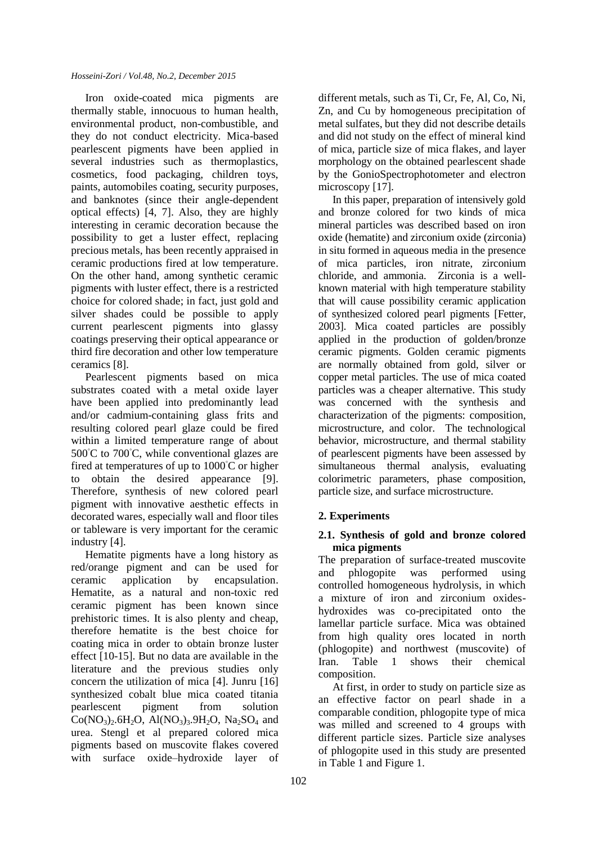Iron oxide-coated mica pigments are thermally stable, innocuous to human health, environmental product, non-combustible, and they do not conduct electricity. Mica-based pearlescent pigments have been applied in several industries such as thermoplastics, cosmetics, food packaging, children toys, paints, automobiles coating, security purposes, and banknotes (since their angle-dependent optical effects) [4, 7]. Also, they are highly interesting in ceramic decoration because the possibility to get a luster effect, replacing precious metals, has been recently appraised in ceramic productions fired at low temperature. On the other hand, among synthetic ceramic pigments with luster effect, there is a restricted choice for colored shade; in fact, just gold and silver shades could be possible to apply current pearlescent pigments into glassy coatings preserving their optical appearance or third fire decoration and other low temperature ceramics [8].

Pearlescent pigments based on mica substrates coated with a metal oxide layer have been applied into predominantly lead and/or cadmium-containing glass frits and resulting colored pearl glaze could be fired within a limited temperature range of about  $500^{\circ}$ C to  $700^{\circ}$ C, while conventional glazes are fired at temperatures of up to 1000◦C or higher to obtain the desired appearance [9]. Therefore, synthesis of new colored pearl pigment with innovative aesthetic effects in decorated wares, especially wall and floor tiles or tableware is very important for the ceramic industry [4].

Hematite pigments have a long history as red/orange pigment and can be used for ceramic application by encapsulation. Hematite, as a natural and non-toxic red ceramic pigment has been known since prehistoric times. It is also plenty and cheap, therefore hematite is the best choice for coating mica in order to obtain bronze luster effect [10-15]. But no data are available in the literature and the previous studies only concern the utilization of mica [4]. Junru [16] synthesized cobalt blue mica coated titania pearlescent pigment from solution  $Co(NO<sub>3</sub>)<sub>2</sub>$ ,  $6H<sub>2</sub>O$ ,  $Al(NO<sub>3</sub>)<sub>3</sub>$ ,  $9H<sub>2</sub>O$ ,  $Na<sub>2</sub>SO<sub>4</sub>$  and urea. Stengl et al prepared colored mica pigments based on muscovite flakes covered with surface oxide–hydroxide layer of different metals, such as Ti, Cr, Fe, Al, Co, Ni, Zn, and Cu by homogeneous precipitation of metal sulfates, but they did not describe details and did not study on the effect of mineral kind of mica, particle size of mica flakes, and layer morphology on the obtained pearlescent shade by the GonioSpectrophotometer and electron microscopy [17].

In this paper, preparation of intensively gold and bronze colored for two kinds of mica mineral particles was described based on iron oxide (hematite) and zirconium oxide (zirconia) in situ formed in aqueous media in the presence of mica particles, iron nitrate, zirconium chloride, and ammonia. Zirconia is a wellknown material with high temperature stability that will cause possibility ceramic application of synthesized colored pearl pigments [Fetter, 2003]. Mica coated particles are possibly applied in the production of golden/bronze ceramic pigments. Golden ceramic pigments are normally obtained from gold, silver or copper metal particles. The use of mica coated particles was a cheaper alternative. This study was concerned with the synthesis and characterization of the pigments: composition, microstructure, and color. The technological behavior, microstructure, and thermal stability of pearlescent pigments have been assessed by simultaneous thermal analysis, evaluating colorimetric parameters, phase composition, particle size, and surface microstructure.

# **2. Experiments**

# **2.1. Synthesis of gold and bronze colored mica pigments**

The preparation of surface-treated muscovite and phlogopite was performed using controlled homogeneous hydrolysis, in which a mixture of iron and zirconium oxideshydroxides was co-precipitated onto the lamellar particle surface. Mica was obtained from high quality ores located in north (phlogopite) and northwest (muscovite) of Iran. Table 1 shows their chemical composition.

At first, in order to study on particle size as an effective factor on pearl shade in a comparable condition, phlogopite type of mica was milled and screened to 4 groups with different particle sizes. Particle size analyses of phlogopite used in this study are presented in Table 1 and Figure 1.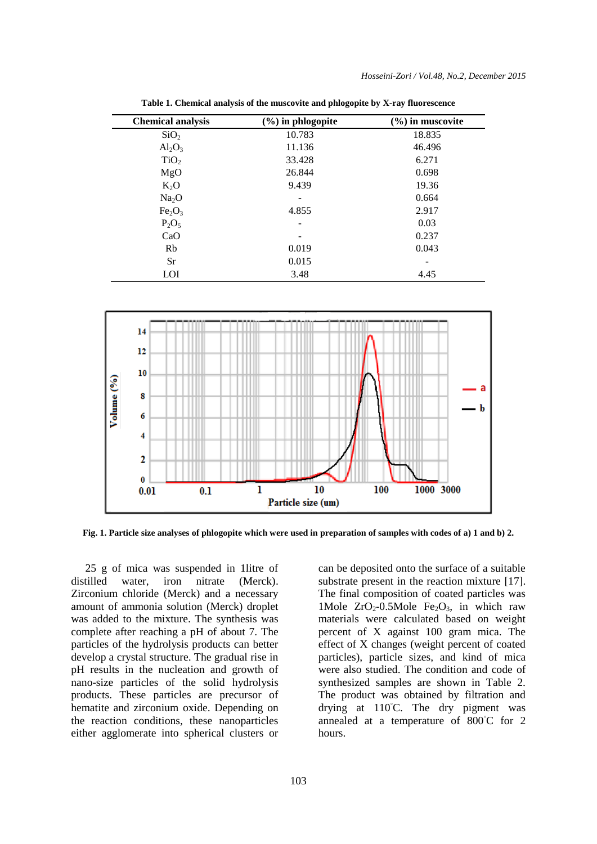| <b>Chemical analysis</b>       | $(\%)$ in phlogopite | $(\%)$ in muscovite |  |  |
|--------------------------------|----------------------|---------------------|--|--|
| SiO <sub>2</sub>               | 10.783               | 18.835              |  |  |
| $Al_2O_3$                      | 11.136               | 46.496              |  |  |
| TiO <sub>2</sub>               | 33.428               | 6.271               |  |  |
| MgO                            | 26.844               | 0.698               |  |  |
| $K_2O$                         | 9.439                | 19.36               |  |  |
| Na <sub>2</sub> O              |                      | 0.664               |  |  |
| Fe <sub>2</sub> O <sub>3</sub> | 4.855                | 2.917               |  |  |
| $P_2O_5$                       |                      | 0.03                |  |  |
| CaO                            |                      | 0.237               |  |  |
| Rb                             | 0.019                | 0.043               |  |  |
| <b>Sr</b>                      | 0.015                |                     |  |  |
| LOI                            | 3.48                 | 4.45                |  |  |

**Table 1. Chemical analysis of the muscovite and phlogopite by X-ray fluorescence**



**Fig. 1. Particle size analyses of phlogopite which were used in preparation of samples with codes of a) 1 and b) 2.**

25 g of mica was suspended in 1litre of distilled water, iron nitrate (Merck). Zirconium chloride (Merck) and a necessary amount of ammonia solution (Merck) droplet was added to the mixture. The synthesis was complete after reaching a pH of about 7. The particles of the hydrolysis products can better develop a crystal structure. The gradual rise in pH results in the nucleation and growth of nano-size particles of the solid hydrolysis products. These particles are precursor of hematite and zirconium oxide. Depending on the reaction conditions, these nanoparticles either agglomerate into spherical clusters or can be deposited onto the surface of a suitable substrate present in the reaction mixture [17]. The final composition of coated particles was 1Mole  $ZrO_2$ -0.5Mole  $Fe<sub>2</sub>O<sub>3</sub>$ , in which raw materials were calculated based on weight percent of X against 100 gram mica. The effect of X changes (weight percent of coated particles), particle sizes, and kind of mica were also studied. The condition and code of synthesized samples are shown in Table 2. The product was obtained by filtration and drying at 110◦C. The dry pigment was annealed at a temperature of 800◦C for 2 hours.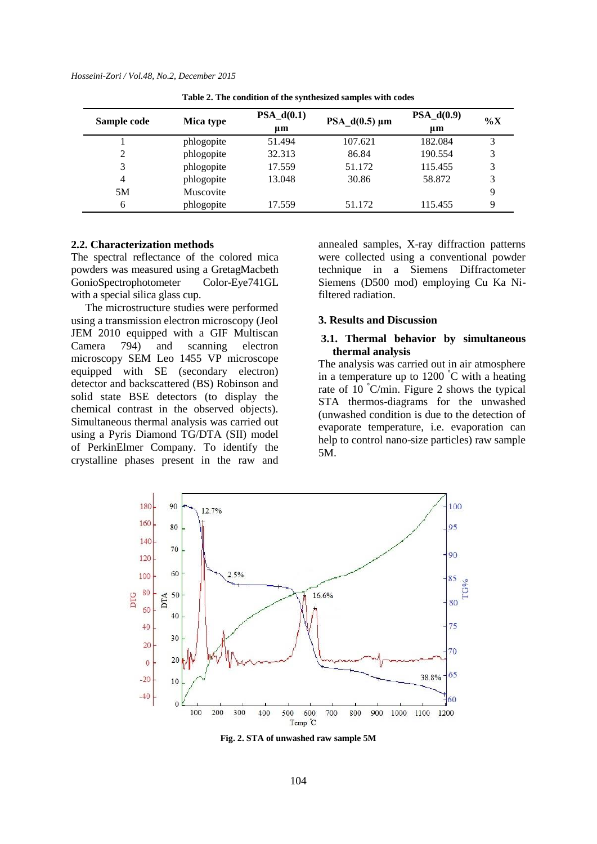| Sample code | Mica type  | $PSA_d(0.1)$<br>um | PSA $d(0.5) \mu m$ | $PSA_d(0.9)$<br>um | $\%X$ |
|-------------|------------|--------------------|--------------------|--------------------|-------|
|             | phlogopite | 51.494             | 107.621            | 182.084            | 3     |
| 2           | phlogopite | 32.313             | 86.84              | 190.554            | 3     |
| 3           | phlogopite | 17.559             | 51.172             | 115.455            | 3     |
| 4           | phlogopite | 13.048             | 30.86              | 58.872             | 3     |
| 5M          | Muscovite  |                    |                    |                    | 9     |
| 6           | phlogopite | 17.559             | 51.172             | 115.455            | q     |

**Table 2. The condition of the synthesized samples with codes**

#### **2.2. Characterization methods**

The spectral reflectance of the colored mica powders was measured using a GretagMacbeth GonioSpectrophotometer Color-Eye741GL with a special silica glass cup.

The microstructure studies were performed using a transmission electron microscopy (Jeol JEM 2010 equipped with a GIF Multiscan Camera 794) and scanning electron microscopy SEM Leo 1455 VP microscope equipped with SE (secondary electron) detector and backscattered (BS) Robinson and solid state BSE detectors (to display the chemical contrast in the observed objects). Simultaneous thermal analysis was carried out using a Pyris Diamond TG/DTA (SII) model of PerkinElmer Company. To identify the crystalline phases present in the raw and

annealed samples, X-ray diffraction patterns were collected using a conventional powder technique in a Siemens Diffractometer Siemens (D500 mod) employing Cu Ka Nifiltered radiation.

#### **3. Results and Discussion**

### **3.1. Thermal behavior by simultaneous thermal analysis**

The analysis was carried out in air atmosphere in a temperature up to  $1200^{\circ}$ C with a heating rate of 10 °C/min. Figure 2 shows the typical STA thermos-diagrams for the unwashed (unwashed condition is due to the detection of evaporate temperature, i.e. evaporation can help to control nano-size particles) raw sample 5M.



**Fig. 2. STA of unwashed raw sample 5M**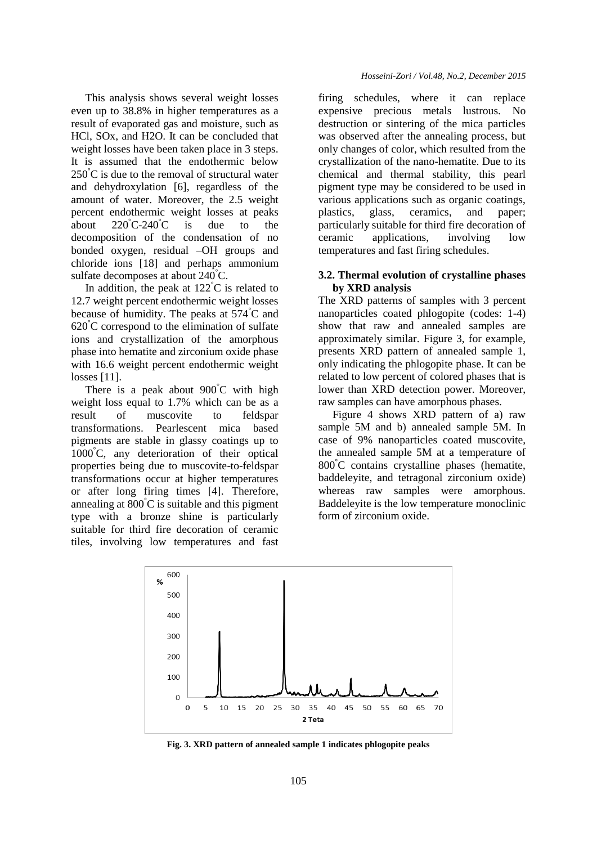This analysis shows several weight losses even up to 38.8% in higher temperatures as a result of evaporated gas and moisture, such as HCl, SOx, and H2O. It can be concluded that weight losses have been taken place in 3 steps. It is assumed that the endothermic below  $250^{\circ}$ C is due to the removal of structural water and dehydroxylation [6], regardless of the amount of water. Moreover, the 2.5 weight percent endothermic weight losses at peaks about  $220^{\circ}$ C-240 $^{\circ}$ C is due to the decomposition of the condensation of no bonded oxygen, residual –OH groups and chloride ions [18] and perhaps ammonium sulfate decomposes at about 240°C.

In addition, the peak at  $122^{\circ}$ C is related to 12.7 weight percent endothermic weight losses because of humidity. The peaks at 574°C and  $620^{\circ}$ C correspond to the elimination of sulfate ions and crystallization of the amorphous phase into hematite and zirconium oxide phase with 16.6 weight percent endothermic weight losses [11].

There is a peak about 900°C with high weight loss equal to 1.7% which can be as a result of muscovite to feldspar transformations. Pearlescent mica based pigments are stable in glassy coatings up to 1000°C, any deterioration of their optical properties being due to muscovite-to-feldspar transformations occur at higher temperatures or after long firing times [4]. Therefore, annealing at  $800^{\circ}$ C is suitable and this pigment type with a bronze shine is particularly suitable for third fire decoration of ceramic tiles, involving low temperatures and fast firing schedules, where it can replace expensive precious metals lustrous. No destruction or sintering of the mica particles was observed after the annealing process, but only changes of color, which resulted from the crystallization of the nano-hematite. Due to its chemical and thermal stability, this pearl pigment type may be considered to be used in various applications such as organic coatings, plastics, glass, ceramics, and paper; particularly suitable for third fire decoration of ceramic applications, involving low temperatures and fast firing schedules.

# **3.2. Thermal evolution of crystalline phases by XRD analysis**

The XRD patterns of samples with 3 percent nanoparticles coated phlogopite (codes: 1-4) show that raw and annealed samples are approximately similar. Figure 3, for example, presents XRD pattern of annealed sample 1, only indicating the phlogopite phase. It can be related to low percent of colored phases that is lower than XRD detection power. Moreover, raw samples can have amorphous phases.

Figure 4 shows XRD pattern of a) raw sample 5M and b) annealed sample 5M. In case of 9% nanoparticles coated muscovite, the annealed sample 5M at a temperature of 800°C contains crystalline phases (hematite, baddeleyite, and tetragonal zirconium oxide) whereas raw samples were amorphous. Baddeleyite is the low temperature monoclinic form of zirconium oxide.



**Fig. 3. XRD pattern of annealed sample 1 indicates phlogopite peaks**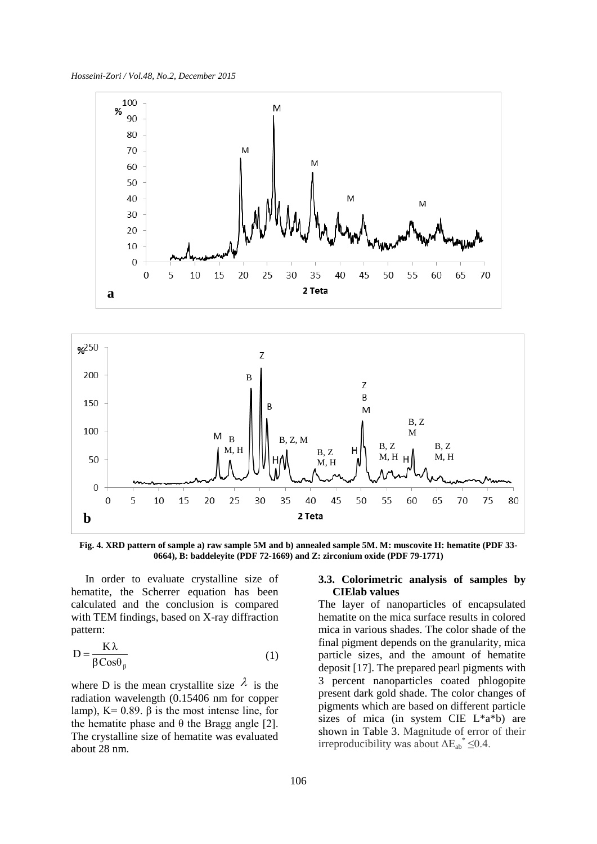*Hosseini-Zori / Vol.48, No.2, December 2015*





**Fig. 4. XRD pattern of sample a) raw sample 5M and b) annealed sample 5M. M: muscovite H: hematite (PDF 33- 0664), B: baddeleyite (PDF 72-1669) and Z: zirconium oxide (PDF 79-1771)**

In order to evaluate crystalline size of hematite, the Scherrer equation has been calculated and the conclusion is compared with TEM findings, based on X-ray diffraction pattern:

$$
D = \frac{K\lambda}{\beta \cos \theta_{\beta}}
$$
 (1)

where D is the mean crystallite size  $\lambda$  is the radiation wavelength (0.15406 nm for copper lamp),  $K = 0.89$ . β is the most intense line, for the hematite phase and θ the Bragg angle [2]. The crystalline size of hematite was evaluated about 28 nm.

### **3.3. Colorimetric analysis of samples by CIElab values**

The layer of nanoparticles of encapsulated hematite on the mica surface results in colored mica in various shades. The color shade of the final pigment depends on the granularity, mica particle sizes, and the amount of hematite deposit [17]. The prepared pearl pigments with 3 percent nanoparticles coated phlogopite present dark gold shade. The color changes of pigments which are based on different particle sizes of mica (in system CIE L\*a\*b) are shown in Table 3. Magnitude of error of their irreproducibility was about  $\Delta E_{ab}^* \leq 0.4$ .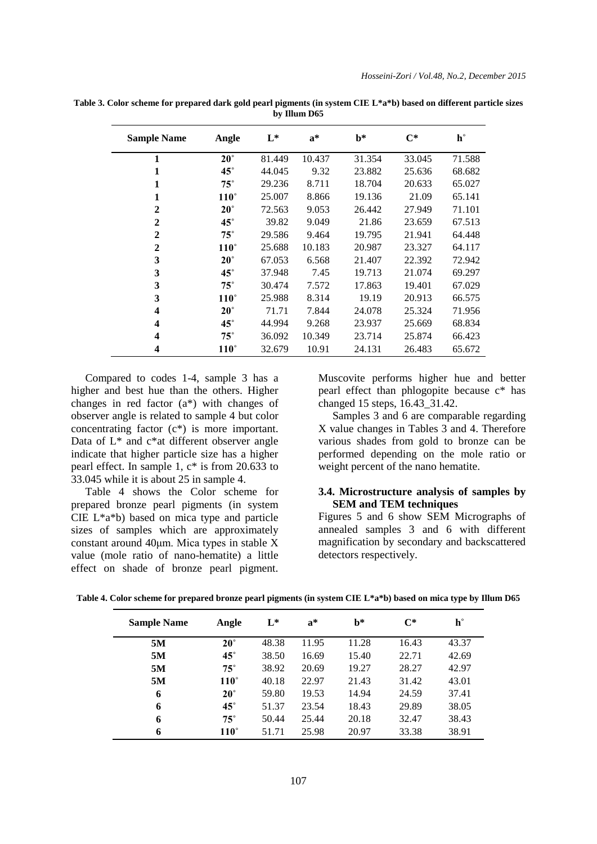| <b>Sample Name</b> | Angle        | $L^*$  | $a^*$  | $h^*$  | $C^*$  | $\mathbf{h}^{\circ}$ |
|--------------------|--------------|--------|--------|--------|--------|----------------------|
| 1                  | $20^{\circ}$ | 81.449 | 10.437 | 31.354 | 33.045 | 71.588               |
| 1                  | $45^{\circ}$ | 44.045 | 9.32   | 23.882 | 25.636 | 68.682               |
| $\mathbf{1}$       | $75^{\circ}$ | 29.236 | 8.711  | 18.704 | 20.633 | 65.027               |
| $\mathbf{1}$       | $110^\circ$  | 25.007 | 8.866  | 19.136 | 21.09  | 65.141               |
| $\mathbf{2}$       | $20^{\circ}$ | 72.563 | 9.053  | 26.442 | 27.949 | 71.101               |
| $\mathbf{2}$       | $45^{\circ}$ | 39.82  | 9.049  | 21.86  | 23.659 | 67.513               |
| $\mathbf{2}$       | $75^{\circ}$ | 29.586 | 9.464  | 19.795 | 21.941 | 64.448               |
| $\mathbf{2}$       | $110^\circ$  | 25.688 | 10.183 | 20.987 | 23.327 | 64.117               |
| 3                  | $20^{\circ}$ | 67.053 | 6.568  | 21.407 | 22.392 | 72.942               |
| 3                  | $45^{\circ}$ | 37.948 | 7.45   | 19.713 | 21.074 | 69.297               |
| 3                  | $75^{\circ}$ | 30.474 | 7.572  | 17.863 | 19.401 | 67.029               |
| 3                  | $110^\circ$  | 25.988 | 8.314  | 19.19  | 20.913 | 66.575               |
| 4                  | $20^{\circ}$ | 71.71  | 7.844  | 24.078 | 25.324 | 71.956               |
| 4                  | $45^{\circ}$ | 44.994 | 9.268  | 23.937 | 25.669 | 68.834               |
| 4                  | $75^{\circ}$ | 36.092 | 10.349 | 23.714 | 25.874 | 66.423               |
| 4                  | $110^\circ$  | 32.679 | 10.91  | 24.131 | 26.483 | 65.672               |

**Table 3. Color scheme for prepared dark gold pearl pigments (in system CIE L\*a\*b) based on different particle sizes by Illum D65**

Compared to codes 1-4, sample 3 has a higher and best hue than the others. Higher changes in red factor (a\*) with changes of observer angle is related to sample 4 but color concentrating factor (c\*) is more important. Data of L\* and c\*at different observer angle indicate that higher particle size has a higher pearl effect. In sample 1, c\* is from 20.633 to 33.045 while it is about 25 in sample 4.

Table 4 shows the Color scheme for prepared bronze pearl pigments (in system CIE L\*a\*b) based on mica type and particle sizes of samples which are approximately constant around 40μm. Mica types in stable X value (mole ratio of nano-hematite) a little effect on shade of bronze pearl pigment. Muscovite performs higher hue and better pearl effect than phlogopite because c\* has changed 15 steps, 16.43\_31.42.

Samples 3 and 6 are comparable regarding X value changes in Tables 3 and 4. Therefore various shades from gold to bronze can be performed depending on the mole ratio or weight percent of the nano hematite.

#### **3.4. Microstructure analysis of samples by SEM and TEM techniques**

Figures 5 and 6 show SEM Micrographs of annealed samples 3 and 6 with different magnification by secondary and backscattered detectors respectively.

| <b>Sample Name</b> | Angle        | $L^*$ | $a^*$ | $h^*$ | $C^*$ | $h^{\circ}$ |
|--------------------|--------------|-------|-------|-------|-------|-------------|
| 5M                 | $20^\circ$   | 48.38 | 11.95 | 11.28 | 16.43 | 43.37       |
| 5M                 | $45^{\circ}$ | 38.50 | 16.69 | 15.40 | 22.71 | 42.69       |
| 5M                 | $75^{\circ}$ | 38.92 | 20.69 | 19.27 | 28.27 | 42.97       |
| 5M                 | $110^\circ$  | 40.18 | 22.97 | 21.43 | 31.42 | 43.01       |
| 6                  | $20^{\circ}$ | 59.80 | 19.53 | 14.94 | 24.59 | 37.41       |
| 6                  | $45^{\circ}$ | 51.37 | 23.54 | 18.43 | 29.89 | 38.05       |
| 6                  | $75^{\circ}$ | 50.44 | 25.44 | 20.18 | 32.47 | 38.43       |
| 6                  | $110^\circ$  | 51.71 | 25.98 | 20.97 | 33.38 | 38.91       |

**Table 4. Color scheme for prepared bronze pearl pigments (in system CIE L\*a\*b) based on mica type by Illum D65**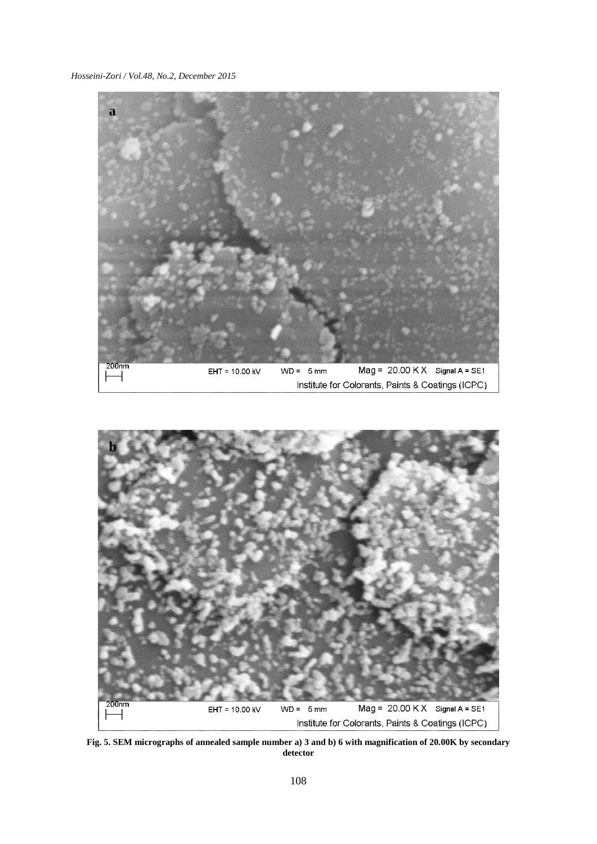*Hosseini-Zori / Vol.48, No.2, December 2015*





**Fig. 5. SEM micrographs of annealed sample number a) 3 and b) 6 with magnification of 20.00K by secondary detector**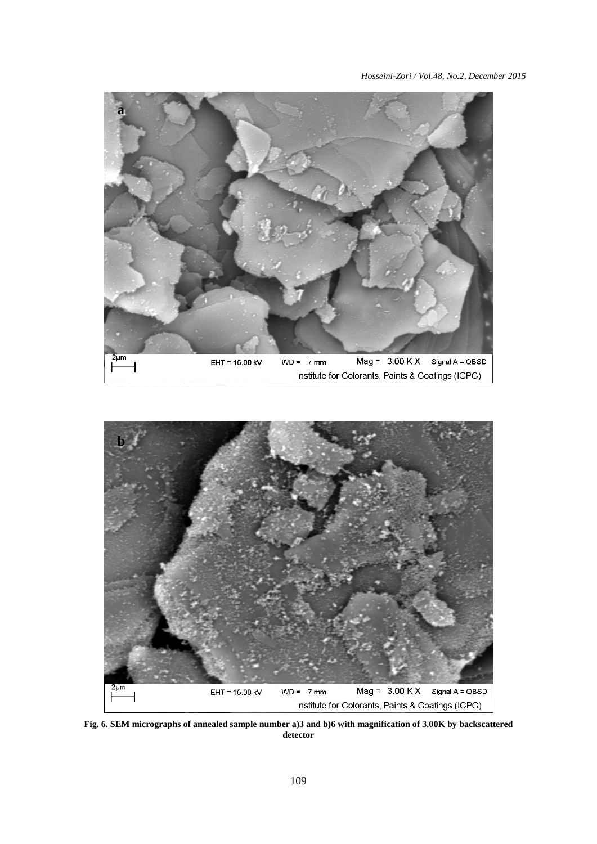



**Fig. 6. SEM micrographs of annealed sample number a)3 and b)6 with magnification of 3.00K by backscattered detector**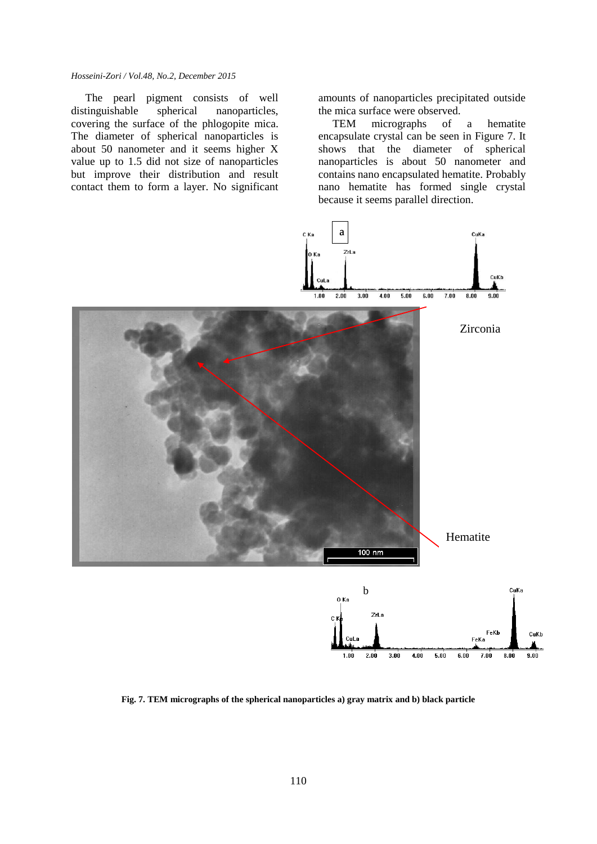The pearl pigment consists of well distinguishable spherical nanoparticles, covering the surface of the phlogopite mica. The diameter of spherical nanoparticles is about 50 nanometer and it seems higher X value up to 1.5 did not size of nanoparticles but improve their distribution and result contact them to form a layer. No significant amounts of nanoparticles precipitated outside the mica surface were observed.

TEM micrographs of a hematite encapsulate crystal can be seen in Figure 7. It shows that the diameter of spherical nanoparticles is about 50 nanometer and contains nano encapsulated hematite. Probably nano hematite has formed single crystal because it seems parallel direction.



**Fig. 7. TEM micrographs of the spherical nanoparticles a) gray matrix and b) black particle**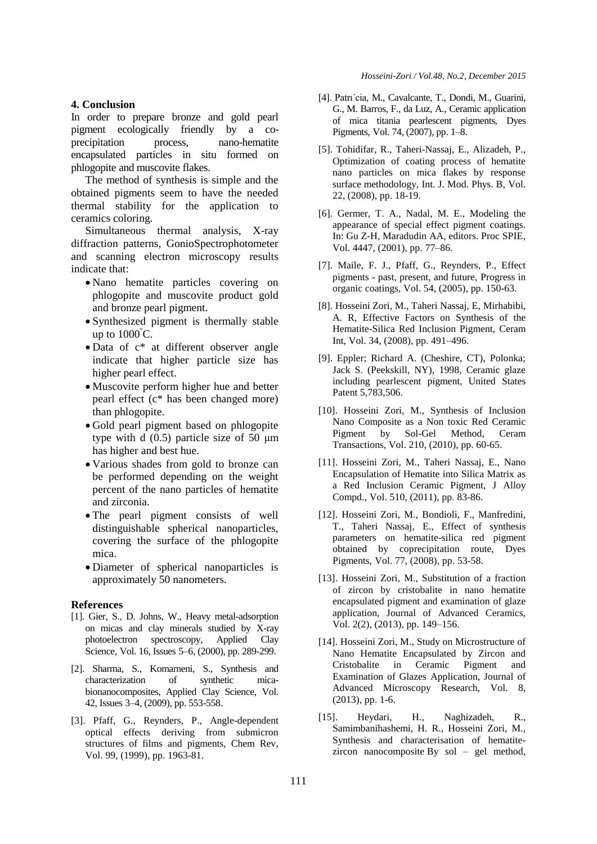#### **4. Conclusion**

In order to prepare bronze and gold pearl pigment ecologically friendly by a coprecipitation process, nano-hematite encapsulated particles in situ formed on phlogopite and muscovite flakes.

The method of synthesis is simple and the obtained pigments seem to have the needed thermal stability for the application to ceramics coloring.

Simultaneous thermal analysis, X-ray diffraction patterns, GonioSpectrophotometer and scanning electron microscopy results indicate that:

- Nano hematite particles covering on phlogopite and muscovite product gold and bronze pearl pigment.
- Synthesized pigment is thermally stable up to  $1000^{\circ}$ C.
- Data of  $c^*$  at different observer angle indicate that higher particle size has higher pearl effect.
- Muscovite perform higher hue and better pearl effect (c\* has been changed more) than phlogopite.
- Gold pearl pigment based on phlogopite type with d  $(0.5)$  particle size of 50  $\mu$ m has higher and best hue.
- Various shades from gold to bronze can be performed depending on the weight percent of the nano particles of hematite and zirconia.
- The pearl pigment consists of well distinguishable spherical nanoparticles, covering the surface of the phlogopite mica.
- Diameter of spherical nanoparticles is approximately 50 nanometers.

#### **References**

- [1]. Gier, S., D. Johns, W., Heavy metal-adsorption on micas and clay minerals studied by X-ray photoelectron spectroscopy, Applied Clay Science, Vol. 16, Issues 5–6, (2000), pp. 289-299.
- [2]. Sharma, S., Komarneni, S., Synthesis and characterization of synthetic micabionanocomposites, Applied Clay Science, Vol. 42, Issues 3–4, (2009), pp. 553-558.
- [3]. Pfaff, G., Reynders, P., Angle-dependent optical effects deriving from submicron structures of films and pigments, Chem Rev, Vol. 99, (1999), pp. 1963-81.
- [4]. Patrı´cia, M., Cavalcante, T., Dondi, M., Guarini, G., M. Barros, F., da Luz, A., Ceramic application of mica titania pearlescent pigments, Dyes Pigments, Vol. 74, (2007), pp. 1–8.
- [5]. Tohidifar, R., Taheri-Nassaj, E., Alizadeh, P., Optimization of coating process of hematite nano particles on mica flakes by response surface methodology, Int. J. Mod. Phys. B, Vol. 22, (2008), pp. 18-19.
- [6]. Germer, T. A., Nadal, M. E., Modeling the appearance of special effect pigment coatings. In: Gu Z-H, Maradudin AA, editors. Proc SPIE, Vol. 4447, (2001), pp. 77–86.
- [7]. Maile, F. J., Pfaff, G., Reynders, P., Effect pigments - past, present, and future, Progress in organic coatings, Vol. 54, (2005), pp. 150-63.
- [8]. Hosseini Zori, M., Taheri Nassaj, E, Mirhabibi, A. R, Effective Factors on Synthesis of the Hematite-Silica Red Inclusion Pigment, Ceram Int, Vol. 34, (2008), pp. 491–496.
- [9]. Eppler; Richard A. (Cheshire, CT), Polonka; Jack S. (Peekskill, NY), 1998, Ceramic glaze including pearlescent pigment, United States Patent 5,783,506.
- [10]. Hosseini Zori, M., Synthesis of Inclusion Nano Composite as a Non toxic Red Ceramic Pigment by Sol-Gel Method, Ceram Transactions, Vol. 210, (2010), pp. 60-65.
- [11]. Hosseini Zori, M., Taheri Nassaj, E., Nano Encapsulation of Hematite into Silica Matrix as a Red Inclusion Ceramic Pigment, J Alloy Compd., Vol. 510, (2011), pp. 83-86.
- [12]. Hosseini Zori, M., Bondioli, F., Manfredini, T., Taheri Nassaj, E., Effect of synthesis parameters on hematite-silica red pigment obtained by coprecipitation route, Dyes Pigments, Vol. 77, (2008), pp. 53-58.
- [13]. Hosseini Zori, M., Substitution of a fraction of zircon by cristobalite in nano hematite encapsulated pigment and examination of glaze application, Journal of Advanced Ceramics, Vol. 2(2), (2013), pp. 149–156.
- [14]. Hosseini Zori, M., Study on Microstructure of Nano Hematite Encapsulated by Zircon and Cristobalite in Ceramic Pigment and Examination of Glazes Application, Journal of Advanced Microscopy Research, Vol. 8, (2013), pp. 1-6.
- [15]. Heydari, H., Naghizadeh, R., Samimbanihashemi, H. R., Hosseini Zori, M., Synthesis and characterisation of hematitezircon nanocomposite By sol – gel method,